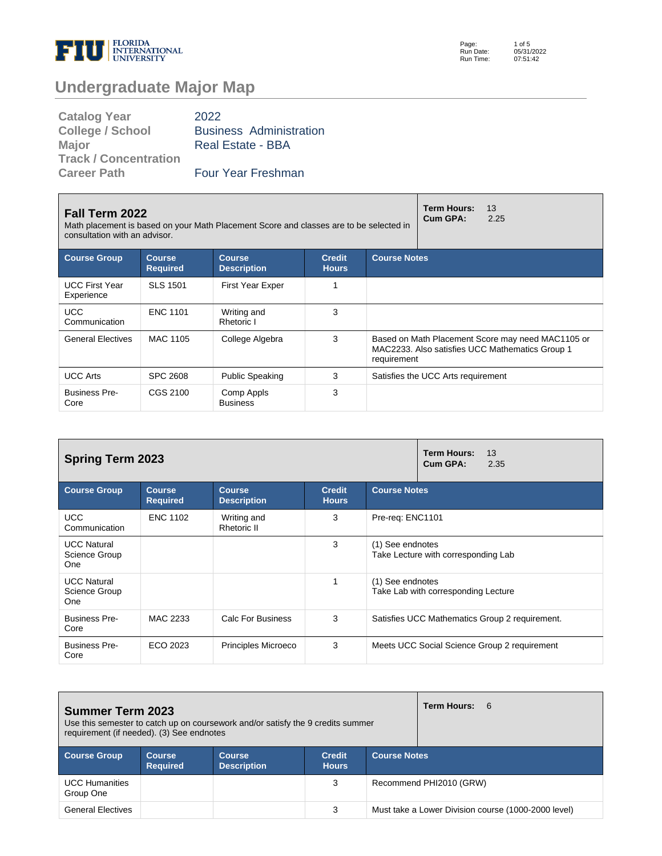

Page: Run Date: Run Time: 1 of 5 05/31/2022 07:51:42

# **Undergraduate Major Map**

| <b>Catalog Year</b>          | 2022                           |
|------------------------------|--------------------------------|
| <b>College / School</b>      | <b>Business Administration</b> |
| <b>Major</b>                 | Real Estate - BBA              |
| <b>Track / Concentration</b> |                                |
| <b>Career Path</b>           | Four Year Freshman             |

| <b>Fall Term 2022</b><br>Math placement is based on your Math Placement Score and classes are to be selected in<br>consultation with an advisor.       |                 | <b>Term Hours:</b><br>13<br>Cum GPA:<br>2.25 |   |             |                                                                                                      |
|--------------------------------------------------------------------------------------------------------------------------------------------------------|-----------------|----------------------------------------------|---|-------------|------------------------------------------------------------------------------------------------------|
| <b>Course Group</b><br><b>Course Notes</b><br><b>Course</b><br><b>Course</b><br><b>Credit</b><br><b>Required</b><br><b>Description</b><br><b>Hours</b> |                 |                                              |   |             |                                                                                                      |
| <b>UCC First Year</b><br>Experience                                                                                                                    | <b>SLS 1501</b> | <b>First Year Exper</b>                      |   |             |                                                                                                      |
| <b>UCC</b><br>Communication                                                                                                                            | <b>ENC 1101</b> | Writing and<br>Rhetoric I                    | 3 |             |                                                                                                      |
| <b>General Electives</b>                                                                                                                               | MAC 1105        | College Algebra                              | 3 | requirement | Based on Math Placement Score may need MAC1105 or<br>MAC2233. Also satisfies UCC Mathematics Group 1 |
| <b>UCC Arts</b>                                                                                                                                        | <b>SPC 2608</b> | <b>Public Speaking</b>                       | 3 |             | Satisfies the UCC Arts requirement                                                                   |
| <b>Business Pre-</b><br>Core                                                                                                                           | CGS 2100        | Comp Appls<br><b>Business</b>                | 3 |             |                                                                                                      |

| <b>Spring Term 2023</b>                    |                                  | Term Hours:<br>13<br>Cum GPA:<br>2.35 |                               |                                                         |
|--------------------------------------------|----------------------------------|---------------------------------------|-------------------------------|---------------------------------------------------------|
| <b>Course Group</b>                        | <b>Course</b><br><b>Required</b> | <b>Course</b><br><b>Description</b>   | <b>Credit</b><br><b>Hours</b> | <b>Course Notes</b>                                     |
| <b>UCC</b><br>Communication                | <b>ENC 1102</b>                  | Writing and<br>Rhetoric II            | 3                             | Pre-req: ENC1101                                        |
| <b>UCC Natural</b><br>Science Group<br>One |                                  |                                       | 3                             | (1) See endnotes<br>Take Lecture with corresponding Lab |
| <b>UCC Natural</b><br>Science Group<br>One |                                  |                                       |                               | (1) See endnotes<br>Take Lab with corresponding Lecture |
| <b>Business Pre-</b><br>Core               | MAC 2233                         | Calc For Business                     | 3                             | Satisfies UCC Mathematics Group 2 requirement.          |
| <b>Business Pre-</b><br>Core               | ECO 2023                         | <b>Principles Microeco</b>            | 3                             | Meets UCC Social Science Group 2 requirement            |

| <b>Summer Term 2023</b><br>Use this semester to catch up on coursework and/or satisfy the 9 credits summer<br>requirement (if needed). (3) See endnotes |                                  |                                     |                               |                     | Term Hours: 6                                       |
|---------------------------------------------------------------------------------------------------------------------------------------------------------|----------------------------------|-------------------------------------|-------------------------------|---------------------|-----------------------------------------------------|
| <b>Course Group</b>                                                                                                                                     | <b>Course</b><br><b>Required</b> | <b>Course</b><br><b>Description</b> | <b>Credit</b><br><b>Hours</b> | <b>Course Notes</b> |                                                     |
| <b>UCC Humanities</b><br>Group One                                                                                                                      |                                  |                                     | 3                             |                     | Recommend PHI2010 (GRW)                             |
| <b>General Electives</b>                                                                                                                                |                                  |                                     | 3                             |                     | Must take a Lower Division course (1000-2000 level) |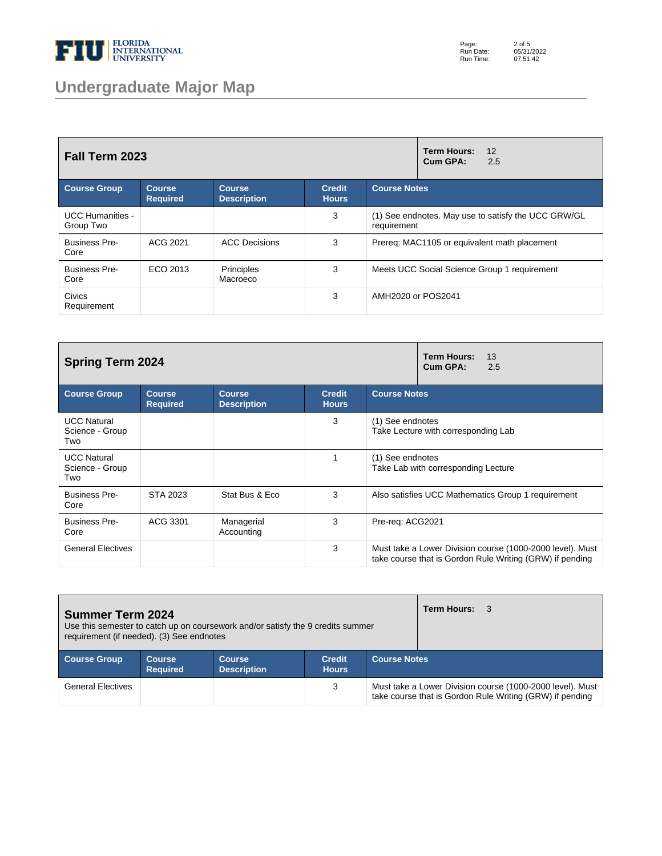

# **Undergraduate Major Map**

Page: Run Date: Run Time: 2 of 5 05/31/2022 07:51:42

| Fall Term 2023                       |                           |                                     |                               | <b>Term Hours:</b><br>12<br>Cum GPA:<br>2.5                        |
|--------------------------------------|---------------------------|-------------------------------------|-------------------------------|--------------------------------------------------------------------|
| <b>Course Group</b>                  | Course<br><b>Required</b> | <b>Course</b><br><b>Description</b> | <b>Credit</b><br><b>Hours</b> | <b>Course Notes</b>                                                |
| <b>UCC Humanities -</b><br>Group Two |                           |                                     | 3                             | (1) See endnotes. May use to satisfy the UCC GRW/GL<br>requirement |
| <b>Business Pre-</b><br>Core         | ACG 2021                  | <b>ACC Decisions</b>                | 3                             | Prereq: MAC1105 or equivalent math placement                       |
| <b>Business Pre-</b><br>Core         | ECO 2013                  | Principles<br>Macroeco              | 3                             | Meets UCC Social Science Group 1 requirement                       |
| <b>Civics</b><br>Requirement         |                           |                                     | 3                             | AMH2020 or POS2041                                                 |

| <b>Spring Term 2024</b>                      |                                  |                                     |                               |                     | <b>Term Hours:</b><br>13<br>Cum GPA:<br>2.5                                                                           |
|----------------------------------------------|----------------------------------|-------------------------------------|-------------------------------|---------------------|-----------------------------------------------------------------------------------------------------------------------|
| <b>Course Group</b>                          | <b>Course</b><br><b>Required</b> | <b>Course</b><br><b>Description</b> | <b>Credit</b><br><b>Hours</b> | <b>Course Notes</b> |                                                                                                                       |
| <b>UCC Natural</b><br>Science - Group<br>Two |                                  |                                     | 3                             | (1) See endnotes    | Take Lecture with corresponding Lab                                                                                   |
| <b>UCC Natural</b><br>Science - Group<br>Two |                                  |                                     | 1                             | (1) See endnotes    | Take Lab with corresponding Lecture                                                                                   |
| <b>Business Pre-</b><br>Core                 | STA 2023                         | Stat Bus & Eco                      | 3                             |                     | Also satisfies UCC Mathematics Group 1 requirement                                                                    |
| <b>Business Pre-</b><br>Core                 | ACG 3301                         | Managerial<br>Accounting            | 3                             | Pre-req: ACG2021    |                                                                                                                       |
| <b>General Electives</b>                     |                                  |                                     | 3                             |                     | Must take a Lower Division course (1000-2000 level). Must<br>take course that is Gordon Rule Writing (GRW) if pending |

| <b>Summer Term 2024</b><br>Use this semester to catch up on coursework and/or satisfy the 9 credits summer<br>requirement (if needed). (3) See endnotes |                           |                                     |                               |                     | <b>Term Hours: 3</b> |                                                                                                                       |
|---------------------------------------------------------------------------------------------------------------------------------------------------------|---------------------------|-------------------------------------|-------------------------------|---------------------|----------------------|-----------------------------------------------------------------------------------------------------------------------|
| <b>Course Group</b>                                                                                                                                     | Course<br><b>Required</b> | <b>Course</b><br><b>Description</b> | <b>Credit</b><br><b>Hours</b> | <b>Course Notes</b> |                      |                                                                                                                       |
| <b>General Electives</b>                                                                                                                                |                           |                                     | 3                             |                     |                      | Must take a Lower Division course (1000-2000 level). Must<br>take course that is Gordon Rule Writing (GRW) if pending |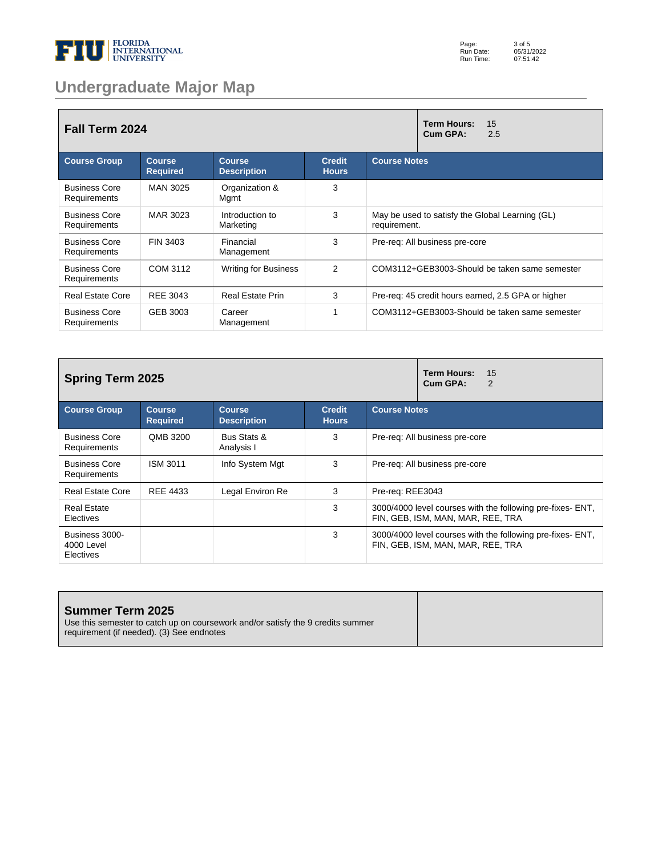

# **Undergraduate Major Map**

| Fall Term 2024                       |                                  |                                     |                               | <b>Term Hours:</b><br>15<br>Cum GPA:<br>2.5                     |
|--------------------------------------|----------------------------------|-------------------------------------|-------------------------------|-----------------------------------------------------------------|
| <b>Course Group</b>                  | <b>Course</b><br><b>Required</b> | <b>Course</b><br><b>Description</b> | <b>Credit</b><br><b>Hours</b> | <b>Course Notes</b>                                             |
| <b>Business Core</b><br>Requirements | MAN 3025                         | Organization &<br>Mgmt              | 3                             |                                                                 |
| <b>Business Core</b><br>Requirements | MAR 3023                         | Introduction to<br>Marketing        | 3                             | May be used to satisfy the Global Learning (GL)<br>requirement. |
| <b>Business Core</b><br>Requirements | FIN 3403                         | Financial<br>Management             | 3                             | Pre-req: All business pre-core                                  |
| <b>Business Core</b><br>Requirements | COM 3112                         | <b>Writing for Business</b>         | $\overline{2}$                | COM3112+GEB3003-Should be taken same semester                   |
| <b>Real Estate Core</b>              | REE 3043                         | <b>Real Estate Prin</b>             | 3                             | Pre-req: 45 credit hours earned, 2.5 GPA or higher              |
| <b>Business Core</b><br>Requirements | GEB 3003                         | Career<br>Management                |                               | COM3112+GEB3003-Should be taken same semester                   |

| <b>Spring Term 2025</b>                   |                                  | <b>Term Hours:</b><br>15<br>Cum GPA:<br>2 |                               |                                                                                                 |
|-------------------------------------------|----------------------------------|-------------------------------------------|-------------------------------|-------------------------------------------------------------------------------------------------|
| <b>Course Group</b>                       | <b>Course</b><br><b>Required</b> | <b>Course</b><br><b>Description</b>       | <b>Credit</b><br><b>Hours</b> | <b>Course Notes</b>                                                                             |
| <b>Business Core</b><br>Requirements      | QMB 3200                         | Bus Stats &<br>Analysis I                 | 3                             | Pre-reg: All business pre-core                                                                  |
| <b>Business Core</b><br>Requirements      | ISM 3011                         | Info System Mgt                           | 3                             | Pre-reg: All business pre-core                                                                  |
| <b>Real Estate Core</b>                   | REE 4433                         | Legal Environ Re                          | 3                             | Pre-reg: REE3043                                                                                |
| <b>Real Estate</b><br>Electives           |                                  |                                           | 3                             | 3000/4000 level courses with the following pre-fixes- ENT,<br>FIN, GEB, ISM, MAN, MAR, REE, TRA |
| Business 3000-<br>4000 Level<br>Electives |                                  |                                           | 3                             | 3000/4000 level courses with the following pre-fixes- ENT.<br>FIN, GEB, ISM, MAN, MAR, REE, TRA |

| Summer Term 2025                                                                                                             |  |
|------------------------------------------------------------------------------------------------------------------------------|--|
| Use this semester to catch up on coursework and/or satisfy the 9 credits summer<br>requirement (if needed). (3) See endnotes |  |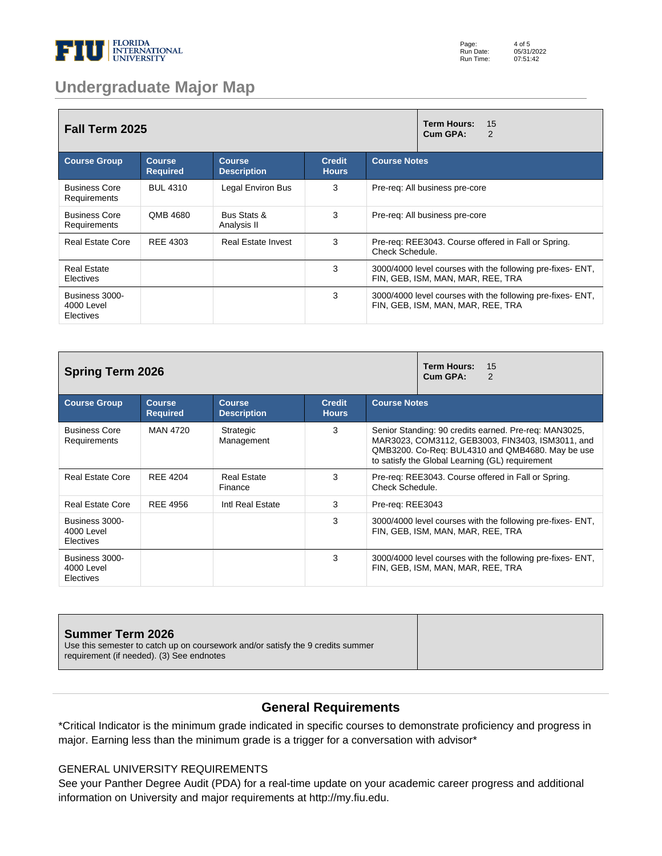

### **Undergraduate Major Map**

| <b>Fall Term 2025</b>                     |                                  | <b>Term Hours:</b><br>15<br>Cum GPA:<br>2 |                               |                                                                                                 |
|-------------------------------------------|----------------------------------|-------------------------------------------|-------------------------------|-------------------------------------------------------------------------------------------------|
| <b>Course Group</b>                       | <b>Course</b><br><b>Required</b> | <b>Course</b><br><b>Description</b>       | <b>Credit</b><br><b>Hours</b> | <b>Course Notes</b>                                                                             |
| <b>Business Core</b><br>Requirements      | <b>BUL 4310</b>                  | Legal Environ Bus                         | 3                             | Pre-reg: All business pre-core                                                                  |
| <b>Business Core</b><br>Requirements      | QMB 4680                         | Bus Stats &<br>Analysis II                | 3                             | Pre-req: All business pre-core                                                                  |
| <b>Real Estate Core</b>                   | <b>REE 4303</b>                  | <b>Real Estate Invest</b>                 | 3                             | Pre-req: REE3043. Course offered in Fall or Spring.<br>Check Schedule.                          |
| <b>Real Estate</b><br><b>Electives</b>    |                                  |                                           | 3                             | 3000/4000 level courses with the following pre-fixes- ENT.<br>FIN, GEB, ISM, MAN, MAR, REE, TRA |
| Business 3000-<br>4000 Level<br>Electives |                                  |                                           | 3                             | 3000/4000 level courses with the following pre-fixes- ENT,<br>FIN, GEB, ISM, MAN, MAR, REE, TRA |

| <b>Spring Term 2026</b>                   |                                  | <b>Term Hours:</b><br>15<br>Cum GPA:<br>2 |                               |                                                                                                                                                                                                                  |
|-------------------------------------------|----------------------------------|-------------------------------------------|-------------------------------|------------------------------------------------------------------------------------------------------------------------------------------------------------------------------------------------------------------|
| <b>Course Group</b>                       | <b>Course</b><br><b>Required</b> | <b>Course</b><br><b>Description</b>       | <b>Credit</b><br><b>Hours</b> | <b>Course Notes</b>                                                                                                                                                                                              |
| <b>Business Core</b><br>Requirements      | MAN 4720                         | Strategic<br>Management                   | 3                             | Senior Standing: 90 credits earned. Pre-reg: MAN3025,<br>MAR3023, COM3112, GEB3003, FIN3403, ISM3011, and<br>QMB3200. Co-Req: BUL4310 and QMB4680. May be use<br>to satisfy the Global Learning (GL) requirement |
| <b>Real Estate Core</b>                   | <b>REE 4204</b>                  | <b>Real Estate</b><br>Finance             | 3                             | Pre-req: REE3043. Course offered in Fall or Spring.<br>Check Schedule.                                                                                                                                           |
| <b>Real Estate Core</b>                   | <b>REE 4956</b>                  | Intl Real Estate                          | 3                             | Pre-req: REE3043                                                                                                                                                                                                 |
| Business 3000-<br>4000 Level<br>Electives |                                  |                                           | 3                             | 3000/4000 level courses with the following pre-fixes- ENT,<br>FIN, GEB, ISM, MAN, MAR, REE, TRA                                                                                                                  |
| Business 3000-<br>4000 Level<br>Electives |                                  |                                           | 3                             | 3000/4000 level courses with the following pre-fixes- ENT,<br>FIN, GEB, ISM, MAN, MAR, REE, TRA                                                                                                                  |

#### **Summer Term 2026**

Use this semester to catch up on coursework and/or satisfy the 9 credits summer requirement (if needed). (3) See endnotes

### **General Requirements**

\*Critical Indicator is the minimum grade indicated in specific courses to demonstrate proficiency and progress in major. Earning less than the minimum grade is a trigger for a conversation with advisor\*

#### GENERAL UNIVERSITY REQUIREMENTS

See your Panther Degree Audit (PDA) for a real-time update on your academic career progress and additional information on University and major requirements at http://my.fiu.edu.